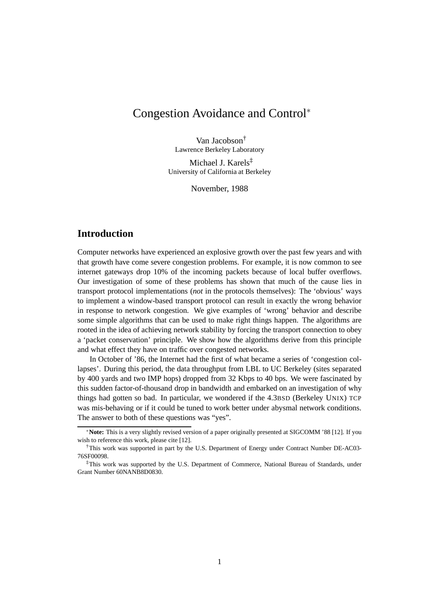# Congestion Avoidance and Control<sup>∗</sup>

Van Jacobson† Lawrence Berkeley Laboratory

Michael J. Karels‡ University of California at Berkeley

November, 1988

## **Introduction**

Computer networks have experienced an explosive growth over the past few years and with that growth have come severe congestion problems. For example, it is now common to see internet gateways drop 10% of the incoming packets because of local buffer overflows. Our investigation of some of these problems has shown that much of the cause lies in transport protocol implementations (*not* in the protocols themselves): The 'obvious' ways to implement a window-based transport protocol can result in exactly the wrong behavior in response to network congestion. We give examples of 'wrong' behavior and describe some simple algorithms that can be used to make right things happen. The algorithms are rooted in the idea of achieving network stability by forcing the transport connection to obey a 'packet conservation' principle. We show how the algorithms derive from this principle and what effect they have on traffic over congested networks.

In October of '86, the Internet had the first of what became a series of 'congestion collapses'. During this period, the data throughput from LBL to UC Berkeley (sites separated by 400 yards and two IMP hops) dropped from 32 Kbps to 40 bps. We were fascinated by this sudden factor-of-thousand drop in bandwidth and embarked on an investigation of why things had gotten so bad. In particular, we wondered if the 4.3BSD (Berkeley UNIX) TCP was mis-behaving or if it could be tuned to work better under abysmal network conditions. The answer to both of these questions was "yes".

<sup>∗</sup>**Note:** This is a very slightly revised version of a paper originally presented at SIGCOMM '88 [\[12\]](#page-23-0). If you wish to reference this work, please cite [\[12\]](#page-23-0).

<sup>†</sup>This work was supported in part by the U.S. Department of Energy under Contract Number DE-AC03- 76SF00098.

<sup>‡</sup>This work was supported by the U.S. Department of Commerce, National Bureau of Standards, under Grant Number 60NANB8D0830.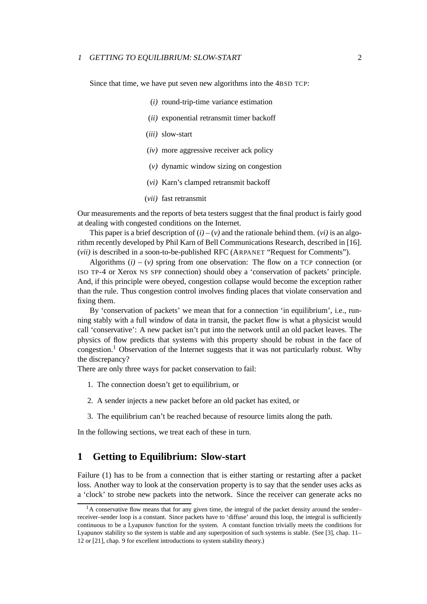#### <sup>1</sup> GETTING TO EQUILIBRIUM: SLOW-START 2

Since that time, we have put seven new algorithms into the 4BSD TCP:

- (*i)* round-trip-time variance estimation
- (*ii)* exponential retransmit timer backoff
- (*iii)* slow-start
- (*iv)* more aggressive receiver ack policy
- (*v)* dynamic window sizing on congestion
- (*vi)* Karn's clamped retransmit backoff
- (*vii)* fast retransmit

Our measurements and the reports of beta testers suggest that the final product is fairly good at dealing with congested conditions on the Internet.

This paper is a brief description of  $(i) - (v)$  and the rationale behind them. (*vi*) is an algorithm recently developed by Phil Karn of Bell Communications Research, described in [\[16\]](#page-23-1). (*vii)* is described in a soon-to-be-published RFC (ARPANET "Request for Comments").

Algorithms  $(i) - (v)$  spring from one observation: The flow on a TCP connection (or ISO TP-4 or Xerox NS SPP connection) should obey a 'conservation of packets' principle. And, if this principle were obeyed, congestion collapse would become the exception rather than the rule. Thus congestion control involves finding places that violate conservation and fixing them.

By 'conservation of packets' we mean that for a connection 'in equilibrium', i.e., running stably with a full window of data in transit, the packet flow is what a physicist would call 'conservative': A new packet isn't put into the network until an old packet leaves. The physics of flow predicts that systems with this property should be robust in the face of congestion.[1](#page-1-0) Observation of the Internet suggests that it was not particularly robust. Why the discrepancy?

There are only three ways for packet conservation to fail:

- 1. The connection doesn't get to equilibrium, or
- 2. A sender injects a new packet before an old packet has exited, or
- 3. The equilibrium can't be reached because of resource limits along the path.

In the following sections, we treat each of these in turn.

### <span id="page-1-1"></span>**1 Getting to Equilibrium: Slow-start**

Failure (1) has to be from a connection that is either starting or restarting after a packet loss. Another way to look at the conservation property is to say that the sender uses acks as a 'clock' to strobe new packets into the network. Since the receiver can generate acks no

<span id="page-1-0"></span> $1_A$  conservative flow means that for any given time, the integral of the packet density around the sender– receiver–sender loop is a constant. Since packets have to 'diffuse' around this loop, the integral is sufficiently continuous to be a Lyapunov function for the system. A constant function trivially meets the conditions for Lyapunov stability so the system is stable and any superposition of such systems is stable. (See [\[3\]](#page-22-0), chap. 11– 12 or [\[21\]](#page-23-2), chap. 9 for excellent introductions to system stability theory.)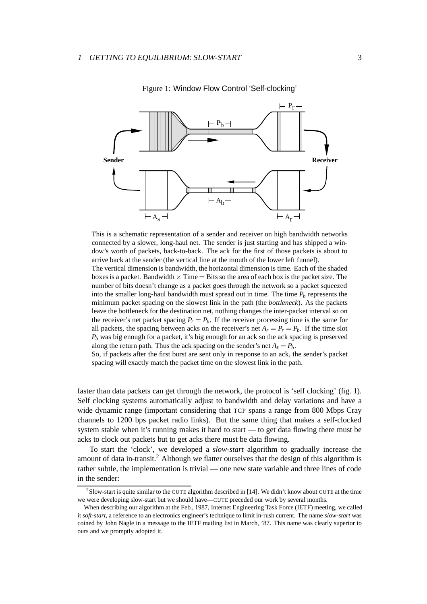

<span id="page-2-0"></span>Figure 1: Window Flow Control 'Self-clocking'

This is a schematic representation of a sender and receiver on high bandwidth networks connected by a slower, long-haul net. The sender is just starting and has shipped a window's worth of packets, back-to-back. The ack for the first of those packets is about to arrive back at the sender (the vertical line at the mouth of the lower left funnel).

The vertical dimension is bandwidth, the horizontal dimension is time. Each of the shaded boxes is a packet. Bandwidth  $\times$  Time  $=$  Bits so the area of each box is the packet size. The number of bits doesn't change as a packet goes through the network so a packet squeezed into the smaller long-haul bandwidth must spread out in time. The time  $P_b$  represents the minimum packet spacing on the slowest link in the path (the *bottleneck*). As the packets leave the bottleneck for the destination net, nothing changes the inter-packet interval so on the receiver's net packet spacing  $P_r = P_b$ . If the receiver processing time is the same for all packets, the spacing between acks on the receiver's net  $A_r = P_r = P_b$ . If the time slot  $P_b$  was big enough for a packet, it's big enough for an ack so the ack spacing is preserved along the return path. Thus the ack spacing on the sender's net  $A_s = P_b$ .

So, if packets after the first burst are sent only in response to an ack, the sender's packet spacing will exactly match the packet time on the slowest link in the path.

faster than data packets can get through the network, the protocol is 'self clocking' (fig. [1\)](#page-2-0). Self clocking systems automatically adjust to bandwidth and delay variations and have a wide dynamic range (important considering that TCP spans a range from 800 Mbps Cray channels to 1200 bps packet radio links). But the same thing that makes a self-clocked system stable when it's running makes it hard to start — to get data flowing there must be acks to clock out packets but to get acks there must be data flowing.

To start the 'clock', we developed a *slow-start* algorithm to gradually increase the amount of data in-transit.<sup>[2](#page-2-1)</sup> Although we flatter ourselves that the design of this algorithm is rather subtle, the implementation is trivial — one new state variable and three lines of code in the sender:

<span id="page-2-1"></span> $2$ Slow-start is quite similar to the CUTE algorithm described in [\[14\]](#page-23-3). We didn't know about CUTE at the time we were developing slow-start but we should have—CUTE preceded our work by several months.

When describing our algorithm at the Feb., 1987, Internet Engineering Task Force (IETF) meeting, we called it *soft-start*, a reference to an electronics engineer's technique to limit in-rush current. The name *slow-start* was coined by John Nagle in a message to the IETF mailing list in March, '87. This name was clearly superior to ours and we promptly adopted it.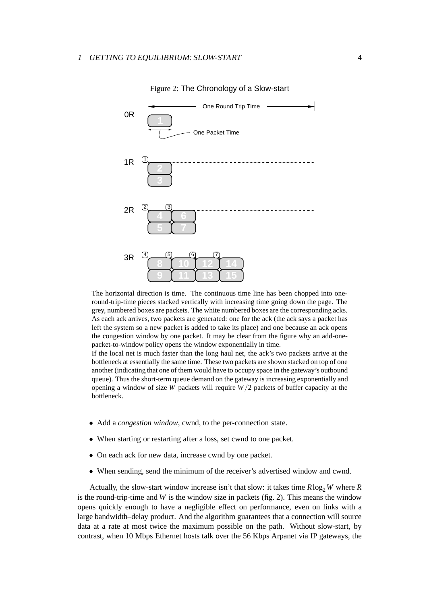<span id="page-3-0"></span>

Figure 2: The Chronology of a Slow-start

The horizontal direction is time. The continuous time line has been chopped into oneround-trip-time pieces stacked vertically with increasing time going down the page. The grey, numbered boxes are packets. The white numbered boxes are the corresponding acks. As each ack arrives, two packets are generated: one for the ack (the ack says a packet has left the system so a new packet is added to take its place) and one because an ack opens the congestion window by one packet. It may be clear from the figure why an add-onepacket-to-window policy opens the window exponentially in time.

If the local net is much faster than the long haul net, the ack's two packets arrive at the bottleneck at essentially the same time. These two packets are shown stacked on top of one another (indicating that one of them would have to occupy space in the gateway's outbound queue). Thus the short-term queue demand on the gateway is increasing exponentially and opening a window of size *W* packets will require *W*/2 packets of buffer capacity at the bottleneck.

- Add a *congestion window*, cwnd, to the per-connection state.
- When starting or restarting after a loss, set cwnd to one packet.
- On each ack for new data, increase cwnd by one packet.
- When sending, send the minimum of the receiver's advertised window and cwnd.

Actually, the slow-start window increase isn't that slow: it takes time  $R \log_2 W$  where  $R$ is the round-trip-time and  $W$  is the window size in packets (fig. [2\)](#page-3-0). This means the window opens quickly enough to have a negligible effect on performance, even on links with a large bandwidth–delay product. And the algorithm guarantees that a connection will source data at a rate at most twice the maximum possible on the path. Without slow-start, by contrast, when 10 Mbps Ethernet hosts talk over the 56 Kbps Arpanet via IP gateways, the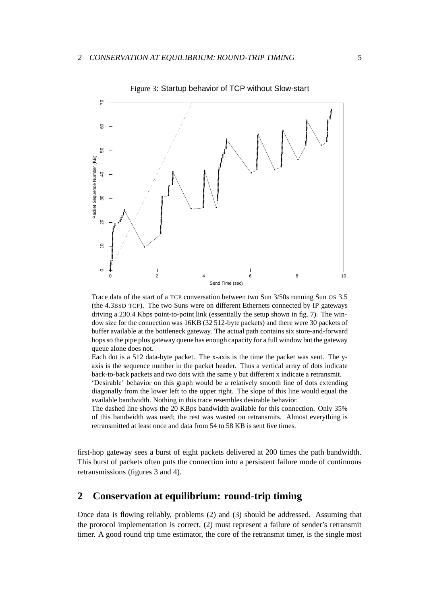<span id="page-4-0"></span>

Figure 3: Startup behavior of TCP without Slow-start

Trace data of the start of a TCP conversation between two Sun 3/50s running Sun OS 3.5 (the 4.3BSD TCP). The two Suns were on different Ethernets connected by IP gateways driving a 230.4 Kbps point-to-point link (essentially the setup shown in fig. [7\)](#page-11-0). The window size for the connection was 16KB (32 512-byte packets) and there were 30 packets of buffer available at the bottleneck gateway. The actual path contains six store-and-forward hops so the pipe plus gateway queue has enough capacity for a full window but the gateway queue alone does not.

Each dot is a 512 data-byte packet. The x-axis is the time the packet was sent. The yaxis is the sequence number in the packet header. Thus a vertical array of dots indicate back-to-back packets and two dots with the same y but different x indicate a retransmit. 'Desirable' behavior on this graph would be a relatively smooth line of dots extending

diagonally from the lower left to the upper right. The slope of this line would equal the available bandwidth. Nothing in this trace resembles desirable behavior.

The dashed line shows the 20 KBps bandwidth available for this connection. Only 35% of this bandwidth was used; the rest was wasted on retransmits. Almost everything is retransmitted at least once and data from 54 to 58 KB is sent five times.

first-hop gateway sees a burst of eight packets delivered at 200 times the path bandwidth. This burst of packets often puts the connection into a persistent failure mode of continuous retransmissions (figures [3](#page-4-0) and [4\)](#page-5-0).

## **2 Conservation at equilibrium: round-trip timing**

Once data is flowing reliably, problems (2) and (3) should be addressed. Assuming that the protocol implementation is correct, (2) must represent a failure of sender's retransmit timer. A good round trip time estimator, the core of the retransmit timer, is the single most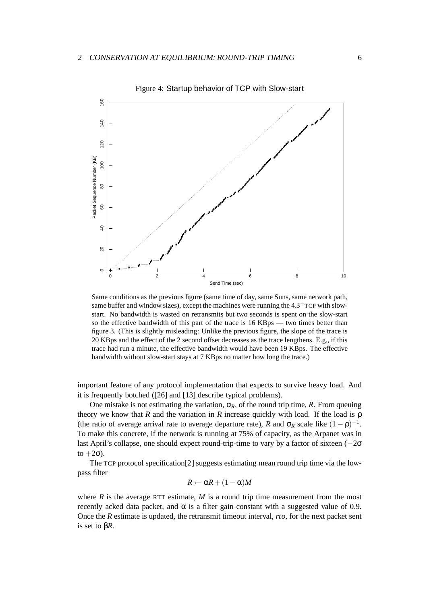<span id="page-5-0"></span>

Same conditions as the previous figure (same time of day, same Suns, same network path, same buffer and window sizes), except the machines were running the  $4.3<sup>+</sup> TCP$  with slowstart. No bandwidth is wasted on retransmits but two seconds is spent on the slow-start so the effective bandwidth of this part of the trace is 16 KBps — two times better than figure [3.](#page-4-0) (This is slightly misleading: Unlike the previous figure, the slope of the trace is 20 KBps and the effect of the 2 second offset decreases as the trace lengthens. E.g., if this trace had run a minute, the effective bandwidth would have been 19 KBps. The effective bandwidth without slow-start stays at 7 KBps no matter how long the trace.)

important feature of any protocol implementation that expects to survive heavy load. And it is frequently botched ([\[26\]](#page-24-0) and [\[13\]](#page-23-4) describe typical problems).

One mistake is not estimating the variation,  $\sigma_R$ , of the round trip time, *R*. From queuing theory we know that  $R$  and the variation in  $R$  increase quickly with load. If the load is  $\rho$ (the ratio of average arrival rate to average departure rate), *R* and  $\sigma_R$  scale like  $(1-\rho)^{-1}$ . To make this concrete, if the network is running at 75% of capacity, as the Arpanet was in last April's collapse, one should expect round-trip-time to vary by a factor of sixteen  $(-2\sigma)$ to  $+2\sigma$ ).

The TCP protocol specification[\[2\]](#page-22-1) suggests estimating mean round trip time via the lowpass filter

$$
R \leftarrow \alpha R + (1 - \alpha)M
$$

where  $R$  is the average RTT estimate,  $M$  is a round trip time measurement from the most recently acked data packet, and  $\alpha$  is a filter gain constant with a suggested value of 0.9. Once the *R* estimate is updated, the retransmit timeout interval, *rto*, for the next packet sent is set to β*R*.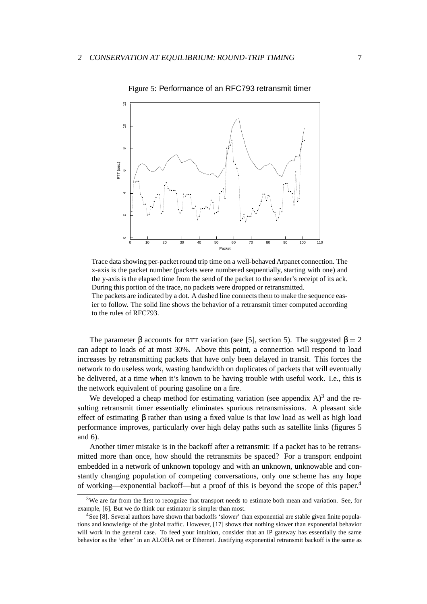<span id="page-6-1"></span>

Figure 5: Performance of an RFC793 retransmit timer

Trace data showing per-packet round trip time on a well-behaved Arpanet connection. The x-axis is the packet number (packets were numbered sequentially, starting with one) and the y-axis is the elapsed time from the send of the packet to the sender's receipt of its ack. During this portion of the trace, no packets were dropped or retransmitted. The packets are indicated by a dot. A dashed line connects them to make the sequence eas-

ier to follow. The solid line shows the behavior of a retransmit timer computed according to the rules of RFC793.

The parameter  $\beta$  accounts for RTT variation (see [\[5\]](#page-22-2), section 5). The suggested  $\beta = 2$ can adapt to loads of at most 30%. Above this point, a connection will respond to load increases by retransmitting packets that have only been delayed in transit. This forces the network to do useless work, wasting bandwidth on duplicates of packets that will eventually be delivered, at a time when it's known to be having trouble with useful work. I.e., this is the network equivalent of pouring gasoline on a fire.

We developed a cheap method for estimating variation (see appendix  $A$ )<sup>[3](#page-6-0)</sup> and the resulting retransmit timer essentially eliminates spurious retransmissions. A pleasant side effect of estimating  $\beta$  rather than using a fixed value is that low load as well as high load performance improves, particularly over high delay paths such as satellite links (figures [5](#page-6-1) and [6\)](#page-7-0).

Another timer mistake is in the backoff after a retransmit: If a packet has to be retransmitted more than once, how should the retransmits be spaced? For a transport endpoint embedded in a network of unknown topology and with an unknown, unknowable and constantly changing population of competing conversations, only one scheme has any hope of working—exponential backoff—but a proof of this is beyond the scope of this paper[.4](#page-6-2)

<span id="page-6-0"></span> $3W$ e are far from the first to recognize that transport needs to estimate both mean and variation. See, for example, [\[6\]](#page-23-5). But we do think our estimator is simpler than most.

<span id="page-6-2"></span><sup>4</sup>See [\[8\]](#page-23-6). Several authors have shown that backoffs 'slower' than exponential are stable given finite populations and knowledge of the global traffic. However, [\[17\]](#page-23-7) shows that nothing slower than exponential behavior will work in the general case. To feed your intuition, consider that an IP gateway has essentially the same behavior as the 'ether' in an ALOHA net or Ethernet. Justifying exponential retransmit backoff is the same as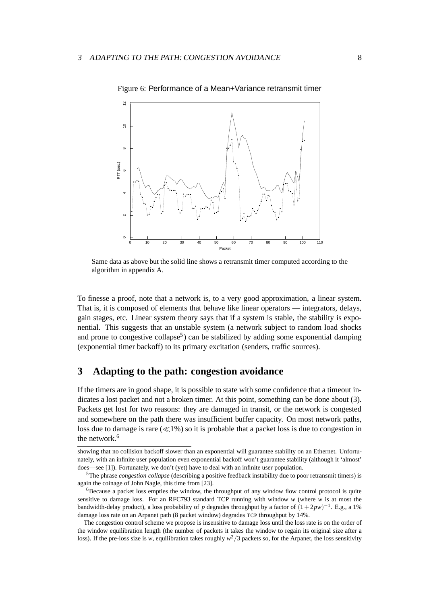<span id="page-7-0"></span>

Figure 6: Performance of a Mean+Variance retransmit timer

Same data as above but the solid line shows a retransmit timer computed according to the algorithm in appendix [A.](#page-17-0)

To finesse a proof, note that a network is, to a very good approximation, a linear system. That is, it is composed of elements that behave like linear operators — integrators, delays, gain stages, etc. Linear system theory says that if a system is stable, the stability is exponential. This suggests that an unstable system (a network subject to random load shocks and prone to congestive collapse<sup>5</sup>) can be stabilized by adding some exponential damping (exponential timer backoff) to its primary excitation (senders, traffic sources).

### **3 Adapting to the path: congestion avoidance**

If the timers are in good shape, it is possible to state with some confidence that a timeout indicates a lost packet and not a broken timer. At this point, something can be done about (3). Packets get lost for two reasons: they are damaged in transit, or the network is congested and somewhere on the path there was insufficient buffer capacity. On most network paths, loss due to damage is rare  $(\ll 1\%)$  so it is probable that a packet loss is due to congestion in the network.<sup>[6](#page-7-2)</sup>

showing that no collision backoff slower than an exponential will guarantee stability on an Ethernet. Unfortunately, with an infinite user population even exponential backoff won't guarantee stability (although it 'almost' does—see [\[1\]](#page-22-3)). Fortunately, we don't (yet) have to deal with an infinite user population.

<span id="page-7-1"></span><sup>5</sup>The phrase *congestion collapse* (describing a positive feedback instability due to poor retransmit timers) is again the coinage of John Nagle, this time from [\[23\]](#page-24-1).

<span id="page-7-2"></span><sup>&</sup>lt;sup>6</sup>Because a packet loss empties the window, the throughput of any window flow control protocol is quite sensitive to damage loss. For an RFC793 standard TCP running with window *w* (where *w* is at most the bandwidth-delay product), a loss probability of *p* degrades throughput by a factor of (1+2*pw*)−1. E.g., a 1% damage loss rate on an Arpanet path (8 packet window) degrades TCP throughput by 14%.

The congestion control scheme we propose is insensitive to damage loss until the loss rate is on the order of the window equilibration length (the number of packets it takes the window to regain its original size after a loss). If the pre-loss size is *w*, equilibration takes roughly  $w^2/3$  packets so, for the Arpanet, the loss sensitivity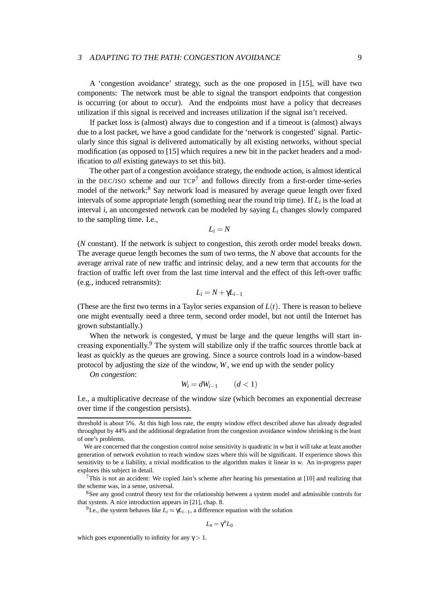#### <sup>3</sup> ADAPTING TO THE PATH: CONGESTION AVOIDANCE 9

A 'congestion avoidance' strategy, such as the one proposed in [\[15\]](#page-23-8), will have two components: The network must be able to signal the transport endpoints that congestion is occurring (or about to occur). And the endpoints must have a policy that decreases utilization if this signal is received and increases utilization if the signal isn't received.

If packet loss is (almost) always due to congestion and if a timeout is (almost) always due to a lost packet, we have a good candidate for the 'network is congested' signal. Particularly since this signal is delivered automatically by all existing networks, without special modification (as opposed to [\[15\]](#page-23-8) which requires a new bit in the packet headers and a modification to *all* existing gateways to set this bit).

The other part of a congestion avoidance strategy, the endnode action, is almost identical in the DEC/ISO scheme and our  $TCP^7$  $TCP^7$  and follows directly from a first-order time-series model of the network[:8](#page-8-1) Say network load is measured by average queue length over fixed intervals of some appropriate length (something near the round trip time). If *Li* is the load at interval *i*, an uncongested network can be modeled by saying *Li* changes slowly compared to the sampling time. I.e.,

$$
L_i = N
$$

(*N* constant). If the network is subject to congestion, this zeroth order model breaks down. The average queue length becomes the sum of two terms, the *N* above that accounts for the average arrival rate of new traffic and intrinsic delay, and a new term that accounts for the fraction of traffic left over from the last time interval and the effect of this left-over traffic (e.g., induced retransmits):

$$
L_i = N + \gamma L_{i-1}
$$

(These are the first two terms in a Taylor series expansion of  $L(t)$ ). There is reason to believe one might eventually need a three term, second order model, but not until the Internet has grown substantially.)

When the network is congested,  $\gamma$  must be large and the queue lengths will start increasing exponentially.[9](#page-8-2) The system will stabilize only if the traffic sources throttle back at least as quickly as the queues are growing. Since a source controls load in a window-based protocol by adjusting the size of the window, *W*, we end up with the sender policy

*On congestion*:

$$
W_i = dW_{i-1} \qquad (d < 1)
$$

I.e., a multiplicative decrease of the window size (which becomes an exponential decrease over time if the congestion persists).

<span id="page-8-2"></span><span id="page-8-1"></span><sup>8</sup>See any good control theory text for the relationship between a system model and admissible controls for that system. A nice introduction appears in [\[21\]](#page-23-2), chap. 8.

<sup>9</sup>I.e., the system behaves like  $L_i \approx \gamma L_{i-1}$ , a difference equation with the solution

$$
L_n=\gamma^n L_0
$$

which goes exponentially to infinity for any  $\gamma > 1$ .

threshold is about 5%. At this high loss rate, the empty window effect described above has already degraded throughput by 44% and the additional degradation from the congestion avoidance window shrinking is the least of one's problems.

We are concerned that the congestion control noise sensitivity is quadratic in *w* but it will take at least another generation of network evolution to reach window sizes where this will be significant. If experience shows this sensitivity to be a liability, a trivial modification to the algorithm makes it linear in *w*. An in-progress paper explores this subject in detail.

<span id="page-8-0"></span> $7$ This is not an accident: We copied Jain's scheme after hearing his presentation at [\[10\]](#page-23-9) and realizing that the scheme was, in a sense, universal.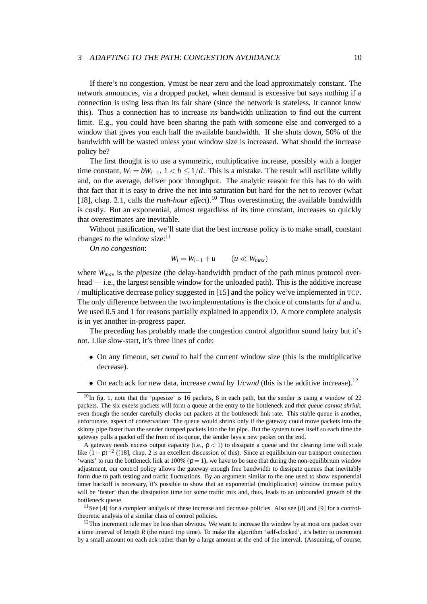#### 3 ADAPTING TO THE PATH: CONGESTION AVOIDANCE 10

If there's no congestion,  $\gamma$  must be near zero and the load approximately constant. The network announces, via a dropped packet, when demand is excessive but says nothing if a connection is using less than its fair share (since the network is stateless, it cannot know this). Thus a connection has to increase its bandwidth utilization to find out the current limit. E.g., you could have been sharing the path with someone else and converged to a window that gives you each half the available bandwidth. If she shuts down, 50% of the bandwidth will be wasted unless your window size is increased. What should the increase policy be?

The first thought is to use a symmetric, multiplicative increase, possibly with a longer time constant,  $W_i = bW_{i-1}$ ,  $1 < b \leq 1/d$ . This is a mistake. The result will oscillate wildly and, on the average, deliver poor throughput. The analytic reason for this has to do with that fact that it is easy to drive the net into saturation but hard for the net to recover (what [\[18\]](#page-23-10), chap. 2.1, calls the *rush-hour effect*).<sup>[10](#page-9-0)</sup> Thus overestimating the available bandwidth is costly. But an exponential, almost regardless of its time constant, increases so quickly that overestimates are inevitable.

Without justification, we'll state that the best increase policy is to make small, constant changes to the window size: $11$ 

*On no congestion*:

$$
W_i = W_{i-1} + u \qquad (u \ll W_{max})
$$

where *Wmax* is the *pipesize* (the delay-bandwidth product of the path minus protocol overhead — i.e., the largest sensible window for the unloaded path). This is the additive increase / multiplicative decrease policy suggested in [\[15\]](#page-23-8) and the policy we've implemented in TCP. The only difference between the two implementations is the choice of constants for *d* and *u*. We used 0.5 and 1 for reasons partially explained in appendix [D.](#page-21-0) A more complete analysis is in yet another in-progress paper.

The preceding has probably made the congestion control algorithm sound hairy but it's not. Like slow-start, it's three lines of code:

- On any timeout, set *cwnd* to half the current window size (this is the multiplicative decrease).
- On each ack for new data, increase *cwnd* by  $1/cwnd$  (this is the additive increase).<sup>[12](#page-9-2)</sup>

<span id="page-9-1"></span>11See [\[4\]](#page-22-4) for a complete analysis of these increase and decrease policies. Also see [\[8\]](#page-23-6) and [\[9\]](#page-23-11) for a controltheoretic analysis of a similar class of control policies.

<span id="page-9-2"></span> $12$ This increment rule may be less than obvious. We want to increase the window by at most one packet over a time interval of length *R* (the round trip time). To make the algorithm 'self-clocked', it's better to increment by a small amount on each ack rather than by a large amount at the end of the interval. (Assuming, of course,

<span id="page-9-0"></span> $10$ In fig. [1,](#page-2-0) note that the 'pipesize' is 16 packets, 8 in each path, but the sender is using a window of 22 packets. The six excess packets will form a queue at the entry to the bottleneck and *that queue cannot shrink*, even though the sender carefully clocks out packets at the bottleneck link rate. This stable queue is another, unfortunate, aspect of conservation: The queue would shrink only if the gateway could move packets into the skinny pipe faster than the sender dumped packets into the fat pipe. But the system tunes itself so each time the gateway pulls a packet off the front of its queue, the sender lays a new packet on the end.

A gateway needs excess output capacity (i.e.,  $p < 1$ ) to dissipate a queue and the clearing time will scale like  $(1-\rho)^{-2}$  ([\[18\]](#page-23-10), chap. 2 is an excellent discussion of this). Since at equilibrium our transport connection 'wants' to run the bottleneck link at 100% ( $\rho = 1$ ), we have to be sure that during the non-equilibrium window adjustment, our control policy allows the gateway enough free bandwidth to dissipate queues that inevitably form due to path testing and traffic fluctuations. By an argument similar to the one used to show exponential timer backoff is necessary, it's possible to show that an exponential (multiplicative) window increase policy will be 'faster' than the dissipation time for some traffic mix and, thus, leads to an unbounded growth of the bottleneck queue.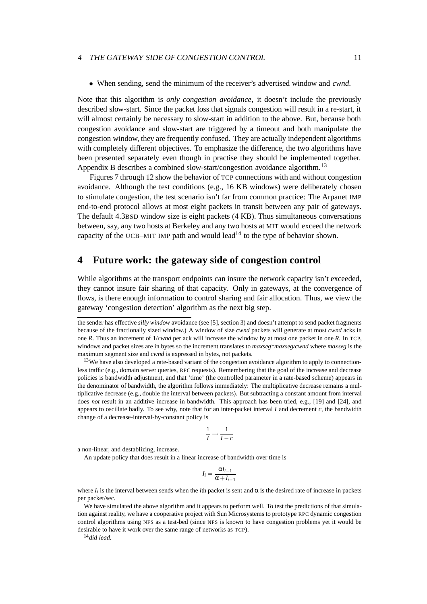#### 4 THE GATEWAY SIDE OF CONGESTION CONTROL 11

• When sending, send the minimum of the receiver's advertised window and *cwnd*.

Note that this algorithm is *only congestion avoidance*, it doesn't include the previously described slow-start. Since the packet loss that signals congestion will result in a re-start, it will almost certainly be necessary to slow-start in addition to the above. But, because both congestion avoidance and slow-start are triggered by a timeout and both manipulate the congestion window, they are frequently confused. They are actually independent algorithms with completely different objectives. To emphasize the difference, the two algorithms have been presented separately even though in practise they should be implemented together. Appendix [B](#page-19-0) describes a combined slow-start/congestion avoidance algorithm.<sup>[13](#page-10-0)</sup>

Figures [7](#page-11-0) through [12](#page-16-0) show the behavior of TCP connections with and without congestion avoidance. Although the test conditions (e.g., 16 KB windows) were deliberately chosen to stimulate congestion, the test scenario isn't far from common practice: The Arpanet IMP end-to-end protocol allows at most eight packets in transit between any pair of gateways. The default 4.3BSD window size is eight packets (4 KB). Thus simultaneous conversations between, say, any two hosts at Berkeley and any two hosts at MIT would exceed the network capacity of the UCB–MIT IMP path and would lead<sup>14</sup> to the type of behavior shown.

### **4 Future work: the gateway side of congestion control**

While algorithms at the transport endpoints can insure the network capacity isn't exceeded, they cannot insure fair sharing of that capacity. Only in gateways, at the convergence of flows, is there enough information to control sharing and fair allocation. Thus, we view the gateway 'congestion detection' algorithm as the next big step.

<span id="page-10-0"></span><sup>13</sup>We have also developed a rate-based variant of the congestion avoidance algorithm to apply to connectionless traffic (e.g., domain server queries, RPC requests). Remembering that the goal of the increase and decrease policies is bandwidth adjustment, and that 'time' (the controlled parameter in a rate-based scheme) appears in the denominator of bandwidth, the algorithm follows immediately: The multiplicative decrease remains a multiplicative decrease (e.g., double the interval between packets). But subtracting a constant amount from interval does *not* result in an additive increase in bandwidth. This approach has been tried, e.g., [\[19\]](#page-23-12) and [\[24\]](#page-24-2), and appears to oscillate badly. To see why, note that for an inter-packet interval *I* and decrement *c*, the bandwidth change of a decrease-interval-by-constant policy is

$$
\frac{1}{I} \to \frac{1}{I - c}
$$

a non-linear, and destablizing, increase.

An update policy that does result in a linear increase of bandwidth over time is

$$
I_i = \frac{\alpha I_{i-1}}{\alpha + I_{i-1}}
$$

where  $I_i$  is the interval between sends when the *i*th packet is sent and  $\alpha$  is the desired rate of increase in packets per packet/sec.

We have simulated the above algorithm and it appears to perform well. To test the predictions of that simulation against reality, we have a cooperative project with Sun Microsystems to prototype RPC dynamic congestion control algorithms using NFS as a test-bed (since NFS is known to have congestion problems yet it would be desirable to have it work over the same range of networks as TCP).

<span id="page-10-1"></span><sup>14</sup>*did lead.*

the sender has effective *silly window* avoidance (see [\[5\]](#page-22-2), section 3) and doesn't attempt to send packet fragments because of the fractionally sized window.) A window of size *cwnd* packets will generate at most *cwnd* acks in one *R*. Thus an increment of 1/*cwnd* per ack will increase the window by at most one packet in one *R*. In TCP, windows and packet sizes are in bytes so the increment translates to *maxseg\*maxseg/cwnd* where *maxseg* is the maximum segment size and *cwnd* is expressed in bytes, not packets.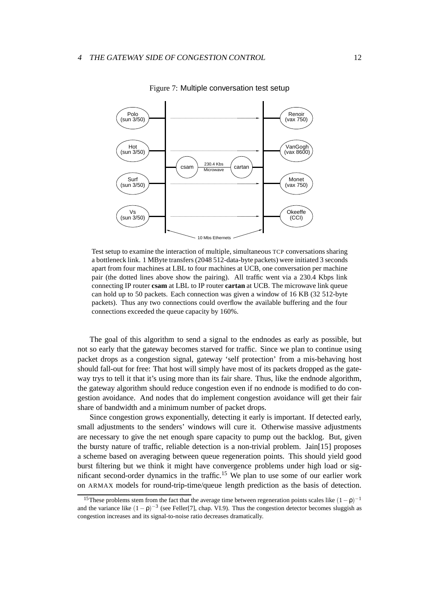

<span id="page-11-0"></span>Figure 7: Multiple conversation test setup

Test setup to examine the interaction of multiple, simultaneous TCP conversations sharing a bottleneck link. 1 MByte transfers (2048 512-data-byte packets) were initiated 3 seconds apart from four machines at LBL to four machines at UCB, one conversation per machine pair (the dotted lines above show the pairing). All traffic went via a 230.4 Kbps link connecting IP router **csam** at LBL to IP router **cartan** at UCB. The microwave link queue can hold up to 50 packets. Each connection was given a window of 16 KB (32 512-byte packets). Thus any two connections could overflow the available buffering and the four connections exceeded the queue capacity by 160%.

The goal of this algorithm to send a signal to the endnodes as early as possible, but not so early that the gateway becomes starved for traffic. Since we plan to continue using packet drops as a congestion signal, gateway 'self protection' from a mis-behaving host should fall-out for free: That host will simply have most of its packets dropped as the gateway trys to tell it that it's using more than its fair share. Thus, like the endnode algorithm, the gateway algorithm should reduce congestion even if no endnode is modified to do congestion avoidance. And nodes that do implement congestion avoidance will get their fair share of bandwidth and a minimum number of packet drops.

Since congestion grows exponentially, detecting it early is important. If detected early, small adjustments to the senders' windows will cure it. Otherwise massive adjustments are necessary to give the net enough spare capacity to pump out the backlog. But, given the bursty nature of traffic, reliable detection is a non-trivial problem. Jain[\[15\]](#page-23-8) proposes a scheme based on averaging between queue regeneration points. This should yield good burst filtering but we think it might have convergence problems under high load or significant second-order dynamics in the traffic[.15](#page-11-1) We plan to use some of our earlier work on ARMAX models for round-trip-time/queue length prediction as the basis of detection.

<span id="page-11-1"></span><sup>&</sup>lt;sup>15</sup>These problems stem from the fact that the average time between regeneration points scales like  $(1-\rho)^{-1}$ and the variance like  $(1-p)^{-3}$  (see Feller[\[7\]](#page-23-13), chap. VI.9). Thus the congestion detector becomes sluggish as congestion increases and its signal-to-noise ratio decreases dramatically.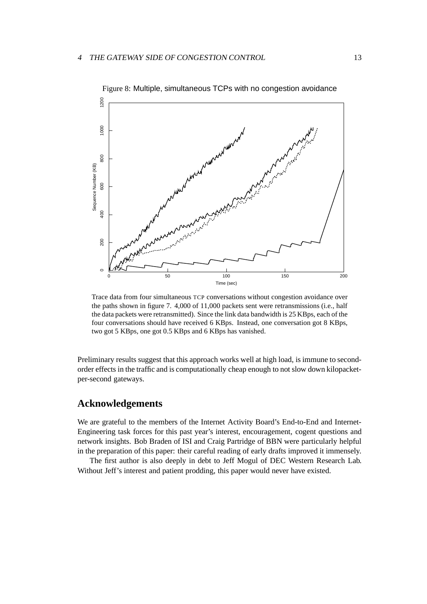<span id="page-12-0"></span>

Trace data from four simultaneous TCP conversations without congestion avoidance over the paths shown in figure [7.](#page-11-0) 4,000 of 11,000 packets sent were retransmissions (i.e., half the data packets were retransmitted). Since the link data bandwidth is 25 KBps, each of the four conversations should have received 6 KBps. Instead, one conversation got 8 KBps, two got 5 KBps, one got 0.5 KBps and 6 KBps has vanished.

Preliminary results suggest that this approach works well at high load, is immune to secondorder effects in the traffic and is computationally cheap enough to not slow down kilopacketper-second gateways.

### **Acknowledgements**

We are grateful to the members of the Internet Activity Board's End-to-End and Internet-Engineering task forces for this past year's interest, encouragement, cogent questions and network insights. Bob Braden of ISI and Craig Partridge of BBN were particularly helpful in the preparation of this paper: their careful reading of early drafts improved it immensely.

The first author is also deeply in debt to Jeff Mogul of DEC Western Research Lab. Without Jeff's interest and patient prodding, this paper would never have existed.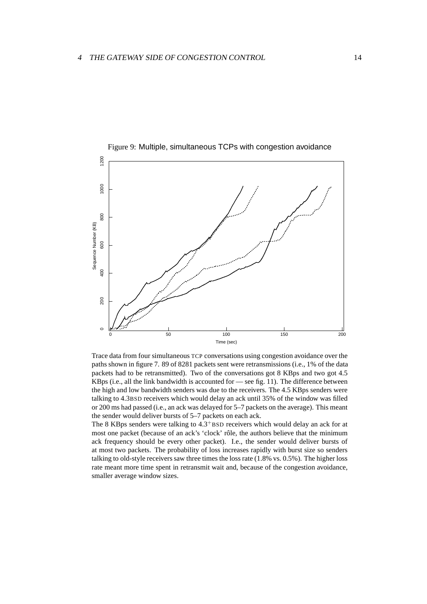<span id="page-13-0"></span>

Figure 9: Multiple, simultaneous TCPs with congestion avoidance

Trace data from four simultaneous TCP conversations using congestion avoidance over the paths shown in figure [7.](#page-11-0) 89 of 8281 packets sent were retransmissions (i.e., 1% of the data packets had to be retransmitted). Two of the conversations got 8 KBps and two got 4.5 KBps (i.e., all the link bandwidth is accounted for — see fig. [11\)](#page-15-0). The difference between the high and low bandwidth senders was due to the receivers. The 4.5 KBps senders were talking to 4.3BSD receivers which would delay an ack until 35% of the window was filled or 200 ms had passed (i.e., an ack was delayed for 5–7 packets on the average). This meant the sender would deliver bursts of 5–7 packets on each ack.

The 8 KBps senders were talking to  $4.3<sup>+</sup>$ BSD receivers which would delay an ack for at most one packet (because of an ack's 'clock' rôle, the authors believe that the minimum ack frequency should be every other packet). I.e., the sender would deliver bursts of at most two packets. The probability of loss increases rapidly with burst size so senders talking to old-style receivers saw three times the loss rate (1.8% vs. 0.5%). The higher loss rate meant more time spent in retransmit wait and, because of the congestion avoidance, smaller average window sizes.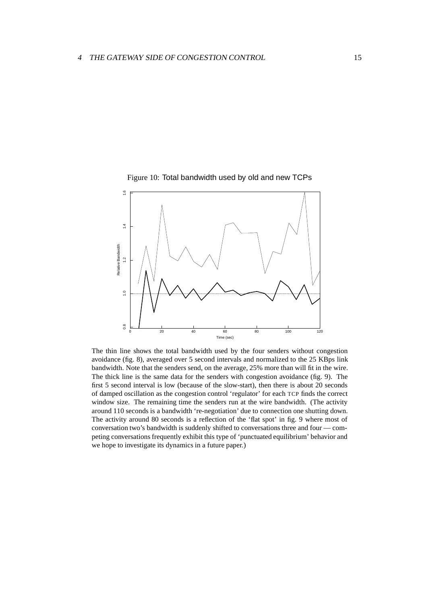<span id="page-14-0"></span>

Figure 10: Total bandwidth used by old and new TCPs

The thin line shows the total bandwidth used by the four senders without congestion avoidance (fig. [8\)](#page-12-0), averaged over 5 second intervals and normalized to the 25 KBps link bandwidth. Note that the senders send, on the average, 25% more than will fit in the wire. The thick line is the same data for the senders with congestion avoidance (fig. [9\)](#page-13-0). The first 5 second interval is low (because of the slow-start), then there is about 20 seconds of damped oscillation as the congestion control 'regulator' for each TCP finds the correct window size. The remaining time the senders run at the wire bandwidth. (The activity around 110 seconds is a bandwidth 're-negotiation' due to connection one shutting down. The activity around 80 seconds is a reflection of the 'flat spot' in fig. [9](#page-13-0) where most of conversation two's bandwidth is suddenly shifted to conversations three and four — competing conversations frequently exhibit this type of 'punctuated equilibrium' behavior and we hope to investigate its dynamics in a future paper.)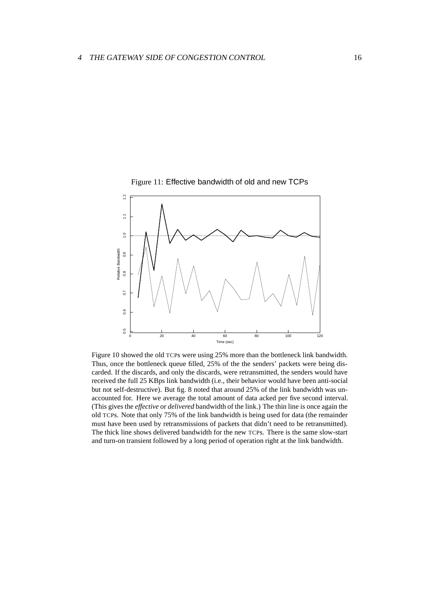<span id="page-15-0"></span>

Figure 11: Effective bandwidth of old and new TCPs

Figure [10](#page-14-0) showed the old TCPs were using 25% more than the bottleneck link bandwidth. Thus, once the bottleneck queue filled, 25% of the the senders' packets were being discarded. If the discards, and only the discards, were retransmitted, the senders would have received the full 25 KBps link bandwidth (i.e., their behavior would have been anti-social but not self-destructive). But fig. [8](#page-12-0) noted that around 25% of the link bandwidth was unaccounted for. Here we average the total amount of data acked per five second interval. (This gives the *effective* or *delivered* bandwidth of the link.) The thin line is once again the old TCPs. Note that only 75% of the link bandwidth is being used for data (the remainder must have been used by retransmissions of packets that didn't need to be retransmitted). The thick line shows delivered bandwidth for the new TCPs. There is the same slow-start and turn-on transient followed by a long period of operation right at the link bandwidth.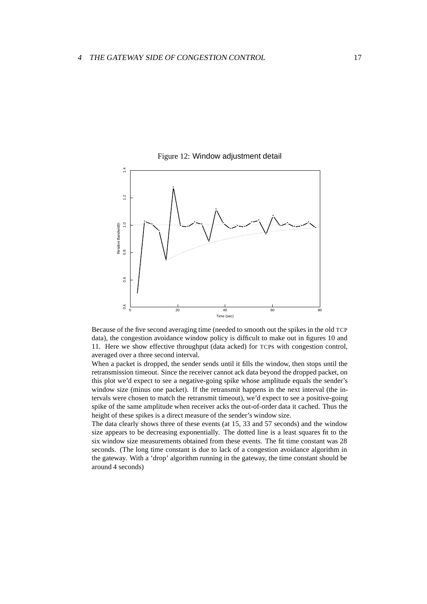

<span id="page-16-0"></span>Figure 12: Window adjustment detail

Time (sec) 0 20 20 40 60 50 80 Because of the five second averaging time (needed to smooth out the spikes in the old TCP

data), the congestion avoidance window policy is difficult to make out in figures [10](#page-14-0) and [11.](#page-15-0) Here we show effective throughput (data acked) for TCPs with congestion control, averaged over a three second interval.

When a packet is dropped, the sender sends until it fills the window, then stops until the retransmission timeout. Since the receiver cannot ack data beyond the dropped packet, on this plot we'd expect to see a negative-going spike whose amplitude equals the sender's window size (minus one packet). If the retransmit happens in the next interval (the intervals were chosen to match the retransmit timeout), we'd expect to see a positive-going spike of the same amplitude when receiver acks the out-of-order data it cached. Thus the height of these spikes is a direct measure of the sender's window size.

The data clearly shows three of these events (at 15, 33 and 57 seconds) and the window size appears to be decreasing exponentially. The dotted line is a least squares fit to the six window size measurements obtained from these events. The fit time constant was 28 seconds. (The long time constant is due to lack of a congestion avoidance algorithm in the gateway. With a 'drop' algorithm running in the gateway, the time constant should be around 4 seconds)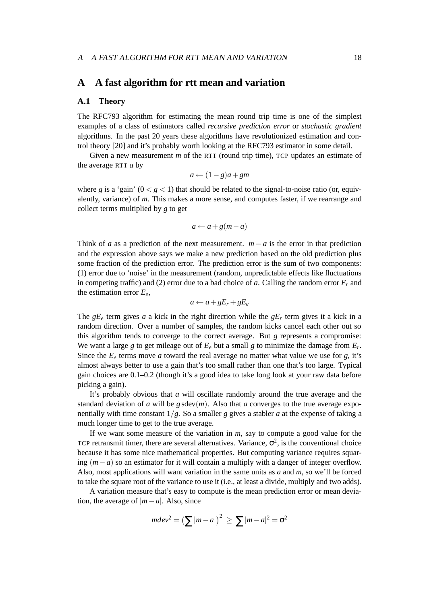### <span id="page-17-0"></span>**A A fast algorithm for rtt mean and variation**

#### **A.1 Theory**

The RFC793 algorithm for estimating the mean round trip time is one of the simplest examples of a class of estimators called *recursive prediction error* or *stochastic gradient* algorithms. In the past 20 years these algorithms have revolutionized estimation and control theory [\[20\]](#page-23-14) and it's probably worth looking at the RFC793 estimator in some detail.

Given a new measurement *m* of the RTT (round trip time), TCP updates an estimate of the average RTT *a* by

$$
a \leftarrow (1 - g)a + gm
$$

where *g* is a 'gain'  $(0 < g < 1)$  that should be related to the signal-to-noise ratio (or, equivalently, variance) of *m*. This makes a more sense, and computes faster, if we rearrange and collect terms multiplied by *g* to get

$$
a \leftarrow a + g(m - a)
$$

Think of *a* as a prediction of the next measurement.  $m - a$  is the error in that prediction and the expression above says we make a new prediction based on the old prediction plus some fraction of the prediction error. The prediction error is the sum of two components: (1) error due to 'noise' in the measurement (random, unpredictable effects like fluctuations in competing traffic) and (2) error due to a bad choice of *a*. Calling the random error  $E_r$  and the estimation error *Ee*,

$$
a \leftarrow a + gE_r + gE_e
$$

The  $gE_e$  term gives *a* a kick in the right direction while the  $gE_r$  term gives it a kick in a random direction. Over a number of samples, the random kicks cancel each other out so this algorithm tends to converge to the correct average. But *g* represents a compromise: We want a large *g* to get mileage out of  $E_e$  but a small *g* to minimize the damage from  $E_r$ . Since the  $E_e$  terms move *a* toward the real average no matter what value we use for *g*, it's almost always better to use a gain that's too small rather than one that's too large. Typical gain choices are 0.1–0.2 (though it's a good idea to take long look at your raw data before picking a gain).

It's probably obvious that *a* will oscillate randomly around the true average and the standard deviation of *a* will be  $g \text{sdev}(m)$ . Also that *a* converges to the true average exponentially with time constant  $1/g$ . So a smaller *g* gives a stabler *a* at the expense of taking a much longer time to get to the true average.

If we want some measure of the variation in *m*, say to compute a good value for the TCP retransmit timer, there are several alternatives. Variance,  $\sigma^2$ , is the conventional choice because it has some nice mathematical properties. But computing variance requires squaring (*m*−*a*) so an estimator for it will contain a multiply with a danger of integer overflow. Also, most applications will want variation in the same units as *a* and *m*, so we'll be forced to take the square root of the variance to use it (i.e., at least a divide, multiply and two adds).

A variation measure that's easy to compute is the mean prediction error or mean deviation, the average of  $|m - a|$ . Also, since

$$
mdev^2 = \left(\sum |m-a|\right)^2 \ge \sum |m-a|^2 = \sigma^2
$$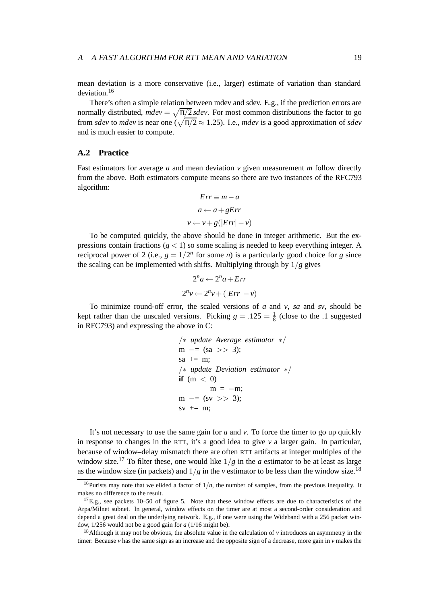#### A A FAST ALGORITHM FOR RTT MEAN AND VARIATION 19

mean deviation is a more conservative (i.e., larger) estimate of variation than standard deviation.[16](#page-18-0)

There's often a simple relation between mdev and sdev. E.g., if the prediction errors are normally distributed,  $mdev = \sqrt{\pi/2}$  *sdev*. For most common distributions the factor to go from *sdev* to *mdev* is near one  $\left(\sqrt{\pi/2} \approx 1.25\right)$ . I.e., *mdev* is a good approximation of *sdev* and is much easier to compute.

### **A.2 Practice**

Fast estimators for average *a* and mean deviation *v* given measurement *m* follow directly from the above. Both estimators compute means so there are two instances of the RFC793 algorithm:

$$
Err \equiv m - a
$$

$$
a \leftarrow a + gErr
$$

$$
v \leftarrow v + g(|Err| - v)
$$

To be computed quickly, the above should be done in integer arithmetic. But the expressions contain fractions  $(g < 1)$  so some scaling is needed to keep everything integer. A reciprocal power of 2 (i.e.,  $g = 1/2^n$  for some *n*) is a particularly good choice for *g* since the scaling can be implemented with shifts. Multiplying through by  $1/g$  gives

$$
2^{n}a \leftarrow 2^{n}a + Err
$$
  

$$
2^{n}v \leftarrow 2^{n}v + (|Err| - v)
$$

To minimize round-off error, the scaled versions of *a* and *v*, *sa* and *sv*, should be kept rather than the unscaled versions. Picking  $g = .125 = \frac{1}{8}$  (close to the .1 suggested in RFC793) and expressing the above in C:

\n
$$
/* update Average estimator */
$$
  
\n $m == (sa >> 3);$   
\n $sa += m;$   
\n $/* update Deviation estimator */$   
\n $if (m < 0)$   
\n $m = -m;$   
\n $m == (sv >> 3);$   
\n $sv += m;$ \n

It's not necessary to use the same gain for *a* and *v*. To force the timer to go up quickly in response to changes in the RTT, it's a good idea to give  $\nu$  a larger gain. In particular, because of window–delay mismatch there are often RTT artifacts at integer multiples of the window size.<sup>[17](#page-18-1)</sup> To filter these, one would like  $1/g$  in the *a* estimator to be at least as large as the window size (in packets) and  $1/g$  in the *v* estimator to be less than the window size.<sup>[18](#page-18-2)</sup>

<span id="page-18-0"></span><sup>&</sup>lt;sup>16</sup>Purists may note that we elided a factor of  $1/n$ , the number of samples, from the previous inequality. It makes no difference to the result.

<span id="page-18-1"></span> $17E.g.,$  see packets 10–50 of figure [5.](#page-6-1) Note that these window effects are due to characteristics of the Arpa/Milnet subnet. In general, window effects on the timer are at most a second-order consideration and depend a great deal on the underlying network. E.g., if one were using the Wideband with a 256 packet window, 1/256 would not be a good gain for *a* (1/16 might be).

<span id="page-18-2"></span><sup>&</sup>lt;sup>18</sup>Although it may not be obvious, the absolute value in the calculation of  $\nu$  introduces an asymmetry in the timer: Because *v* has the same sign as an increase and the opposite sign of a decrease, more gain in *v* makes the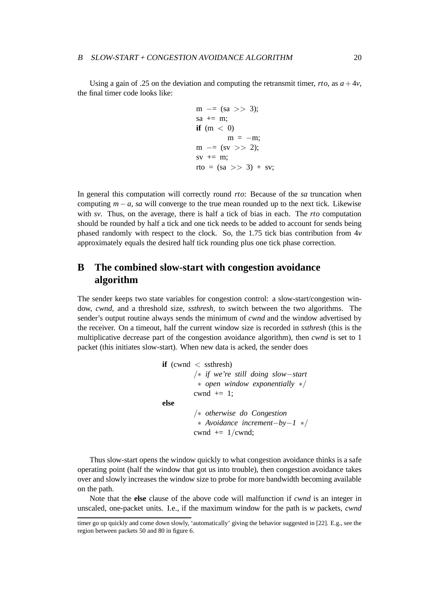Using a gain of .25 on the deviation and computing the retransmit timer, *rto*, as  $a + 4v$ , the final timer code looks like:

$$
m \ - = (sa \ >> 3);
$$
\n
$$
sa \ + = m;
$$
\n
$$
if \ (m < 0)
$$
\n
$$
m = -m;
$$
\n
$$
m \ - = (sv \ >> 2);
$$
\n
$$
sv \ + = m;
$$
\n
$$
rto \ = (sa \ >> 3) + sv;
$$

In general this computation will correctly round *rto*: Because of the *sa* truncation when computing  $m - a$ , *sa* will converge to the true mean rounded up to the next tick. Likewise with *sv*. Thus, on the average, there is half a tick of bias in each. The *rto* computation should be rounded by half a tick and one tick needs to be added to account for sends being phased randomly with respect to the clock. So, the 1.75 tick bias contribution from  $4v$ approximately equals the desired half tick rounding plus one tick phase correction.

## <span id="page-19-0"></span>**B The combined slow-start with congestion avoidance algorithm**

The sender keeps two state variables for congestion control: a slow-start/congestion window, *cwnd*, and a threshold size, *ssthresh*, to switch between the two algorithms. The sender's output routine always sends the minimum of *cwnd* and the window advertised by the receiver. On a timeout, half the current window size is recorded in *ssthresh* (this is the multiplicative decrease part of the congestion avoidance algorithm), then *cwnd* is set to 1 packet (this initiates slow-start). When new data is acked, the sender does

```
if (cwnd < ssthresh)
        /∗ if we're still doing slow−start
         ∗ open window exponentially ∗/
        cwnd += 1:
else
        /∗ otherwise do Congestion
          ∗ Avoidance increment−by−1 ∗/
        cwnd += 1/cwnd;
```
Thus slow-start opens the window quickly to what congestion avoidance thinks is a safe operating point (half the window that got us into trouble), then congestion avoidance takes over and slowly increases the window size to probe for more bandwidth becoming available on the path.

Note that the **else** clause of the above code will malfunction if *cwnd* is an integer in unscaled, one-packet units. I.e., if the maximum window for the path is *w* packets, *cwnd*

timer go up quickly and come down slowly, 'automatically' giving the behavior suggested in [\[22\]](#page-23-15). E.g., see the region between packets 50 and 80 in figure [6.](#page-7-0)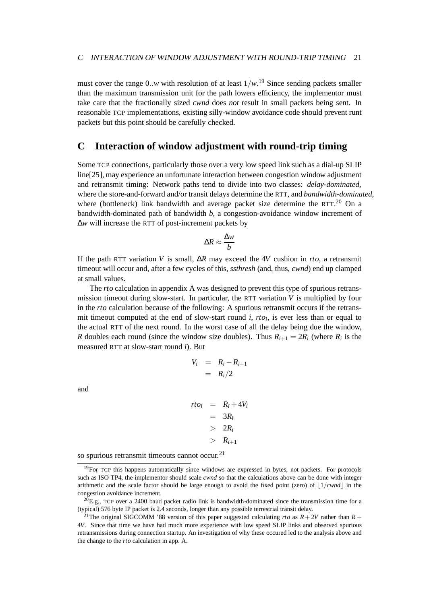must cover the range 0..*w* with resolution of at least 1/*w*. [19](#page-20-0) Since sending packets smaller than the maximum transmission unit for the path lowers efficiency, the implementor must take care that the fractionally sized *cwnd* does *not* result in small packets being sent. In reasonable TCP implementations, existing silly-window avoidance code should prevent runt packets but this point should be carefully checked.

### **C Interaction of window adjustment with round-trip timing**

Some TCP connections, particularly those over a very low speed link such as a dial-up SLIP line[\[25\]](#page-24-3), may experience an unfortunate interaction between congestion window adjustment and retransmit timing: Network paths tend to divide into two classes: *delay-dominated*, where the store-and-forward and/or transit delays determine the RTT, and *bandwidth-dominated*, where (bottleneck) link bandwidth and average packet size determine the RTT. $^{20}$  $^{20}$  $^{20}$  On a bandwidth-dominated path of bandwidth *b*, a congestion-avoidance window increment of ∆*w* will increase the RTT of post-increment packets by

$$
\Delta R \approx \frac{\Delta w}{b}
$$

If the path RTT variation *V* is small, ∆*R* may exceed the 4*V* cushion in *rto*, a retransmit timeout will occur and, after a few cycles of this, *ssthresh* (and, thus, *cwnd*) end up clamped at small values.

The *rto* calculation in appendix [A](#page-17-0) was designed to prevent this type of spurious retransmission timeout during slow-start. In particular, the RTT variation *V* is multiplied by four in the *rto* calculation because of the following: A spurious retransmit occurs if the retransmit timeout computed at the end of slow-start round  $i$ ,  $rto_i$ , is ever less than or equal to the actual RTT of the next round. In the worst case of all the delay being due the window, *R* doubles each round (since the window size doubles). Thus  $R_{i+1} = 2R_i$  (where  $R_i$  is the measured RTT at slow-start round *i*). But

$$
V_i = R_i - R_{i-1}
$$

$$
= R_i/2
$$

and

 $rto_i = R_i + 4V_i$  $= 3R_i$ > 2*Ri*  $> R_{i+1}$ 

so spurious retransmit timeouts cannot occur.<sup>[21](#page-20-2)</sup>

<span id="page-20-0"></span> $19$ For TCP this happens automatically since windows are expressed in bytes, not packets. For protocols such as ISO TP4, the implementor should scale *cwnd* so that the calculations above can be done with integer arithmetic and the scale factor should be large enough to avoid the fixed point (zero) of  $1/cwnd$  in the congestion avoidance increment.

<span id="page-20-1"></span> $^{20}$ E.g., TCP over a 2400 baud packet radio link is bandwidth-dominated since the transmission time for a (typical) 576 byte IP packet is 2.4 seconds, longer than any possible terrestrial transit delay.

<span id="page-20-2"></span><sup>&</sup>lt;sup>21</sup>The original SIGCOMM '88 version of this paper suggested calculating *rto* as  $R + 2V$  rather than  $R + 2V$ 4*V*. Since that time we have had much more experience with low speed SLIP links and observed spurious retransmissions during connection startup. An investigation of why these occured led to the analysis above and the change to the *rto* calculation in app. [A.](#page-17-0)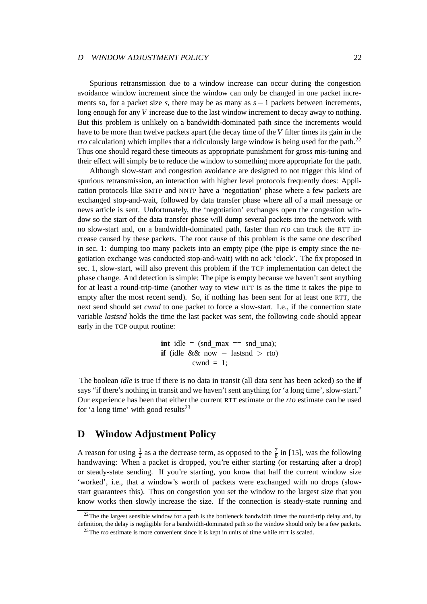#### <sup>D</sup> WINDOW ADJUSTMENT POLICY 22

Spurious retransmission due to a window increase can occur during the congestion avoidance window increment since the window can only be changed in one packet increments so, for a packet size *s*, there may be as many as *s*− 1 packets between increments, long enough for any *V* increase due to the last window increment to decay away to nothing. But this problem is unlikely on a bandwidth-dominated path since the increments would have to be more than twelve packets apart (the decay time of the *V* filter times its gain in the *rto* calculation) which implies that a ridiculously large window is being used for the path.<sup>[22](#page-21-1)</sup> Thus one should regard these timeouts as appropriate punishment for gross mis-tuning and their effect will simply be to reduce the window to something more appropriate for the path.

Although slow-start and congestion avoidance are designed to not trigger this kind of spurious retransmission, an interaction with higher level protocols frequently does: Application protocols like SMTP and NNTP have a 'negotiation' phase where a few packets are exchanged stop-and-wait, followed by data transfer phase where all of a mail message or news article is sent. Unfortunately, the 'negotiation' exchanges open the congestion window so the start of the data transfer phase will dump several packets into the network with no slow-start and, on a bandwidth-dominated path, faster than *rto* can track the RTT increase caused by these packets. The root cause of this problem is the same one described in sec. [1:](#page-1-1) dumping too many packets into an empty pipe (the pipe is empty since the negotiation exchange was conducted stop-and-wait) with no ack 'clock'. The fix proposed in sec. [1,](#page-1-1) slow-start, will also prevent this problem if the TCP implementation can detect the phase change. And detection is simple: The pipe is empty because we haven't sent anything for at least a round-trip-time (another way to view RTT is as the time it takes the pipe to empty after the most recent send). So, if nothing has been sent for at least one RTT, the next send should set *cwnd* to one packet to force a slow-start. I.e., if the connection state variable *lastsnd* holds the time the last packet was sent, the following code should appear early in the TCP output routine:

> **int** idle = (snd max  $==$  snd una); **if** (idle && now  $-$  lastsnd  $>$  rto) cwnd  $= 1$ :

The boolean *idle* is true if there is no data in transit (all data sent has been acked) so the **if** says "if there's nothing in transit and we haven't sent anything for 'a long time', slow-start." Our experience has been that either the current RTT estimate or the *rto* estimate can be used for 'a long time' with good results<sup>23</sup>

### <span id="page-21-0"></span>**D Window Adjustment Policy**

A reason for using  $\frac{1}{2}$  as a the decrease term, as opposed to the  $\frac{7}{8}$  in [\[15\]](#page-23-8), was the following handwaving: When a packet is dropped, you're either starting (or restarting after a drop) or steady-state sending. If you're starting, you know that half the current window size 'worked', i.e., that a window's worth of packets were exchanged with no drops (slowstart guarantees this). Thus on congestion you set the window to the largest size that you know works then slowly increase the size. If the connection is steady-state running and

<span id="page-21-2"></span><span id="page-21-1"></span> $22$ The the largest sensible window for a path is the bottleneck bandwidth times the round-trip delay and, by definition, the delay is negligible for a bandwidth-dominated path so the window should only be a few packets.

<sup>&</sup>lt;sup>23</sup>The *rto* estimate is more convenient since it is kept in units of time while RTT is scaled.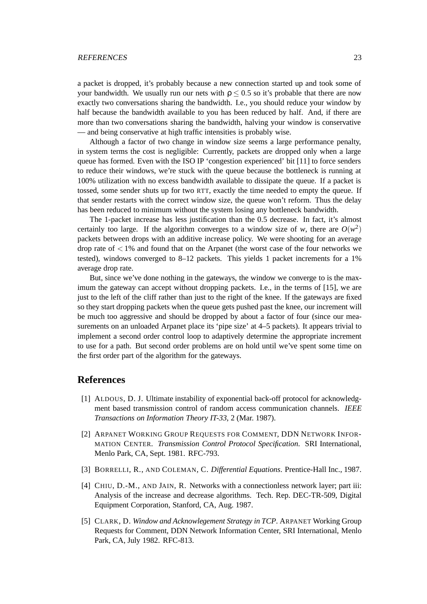#### REFERENCES 23

a packet is dropped, it's probably because a new connection started up and took some of your bandwidth. We usually run our nets with  $\rho \leq 0.5$  so it's probable that there are now exactly two conversations sharing the bandwidth. I.e., you should reduce your window by half because the bandwidth available to you has been reduced by half. And, if there are more than two conversations sharing the bandwidth, halving your window is conservative — and being conservative at high traffic intensities is probably wise.

Although a factor of two change in window size seems a large performance penalty, in system terms the cost is negligible: Currently, packets are dropped only when a large queue has formed. Even with the ISO IP 'congestion experienced' bit [\[11\]](#page-23-16) to force senders to reduce their windows, we're stuck with the queue because the bottleneck is running at 100% utilization with no excess bandwidth available to dissipate the queue. If a packet is tossed, some sender shuts up for two RTT, exactly the time needed to empty the queue. If that sender restarts with the correct window size, the queue won't reform. Thus the delay has been reduced to minimum without the system losing any bottleneck bandwidth.

The 1-packet increase has less justification than the 0.5 decrease. In fact, it's almost certainly too large. If the algorithm converges to a window size of *w*, there are  $O(w^2)$ packets between drops with an additive increase policy. We were shooting for an average drop rate of  $\lt 1\%$  and found that on the Arpanet (the worst case of the four networks we tested), windows converged to  $8-12$  packets. This yields 1 packet increments for a 1% average drop rate.

But, since we've done nothing in the gateways, the window we converge to is the maximum the gateway can accept without dropping packets. I.e., in the terms of [\[15\]](#page-23-8), we are just to the left of the cliff rather than just to the right of the knee. If the gateways are fixed so they start dropping packets when the queue gets pushed past the knee, our increment will be much too aggressive and should be dropped by about a factor of four (since our measurements on an unloaded Arpanet place its 'pipe size' at 4–5 packets). It appears trivial to implement a second order control loop to adaptively determine the appropriate increment to use for a path. But second order problems are on hold until we've spent some time on the first order part of the algorithm for the gateways.

### <span id="page-22-3"></span>**References**

- [1] ALDOUS, D. J. Ultimate instability of exponential back-off protocol for acknowledgment based transmission control of random access communication channels. *IEEE Transactions on Information Theory IT-33*, 2 (Mar. 1987).
- <span id="page-22-1"></span>[2] ARPANET WORKING GROUP REQUESTS FOR COMMENT, DDN NETWORK INFOR-MATION CENTER. *Transmission Control Protocol Specification*. SRI International, Menlo Park, CA, Sept. 1981. RFC-793.
- <span id="page-22-4"></span><span id="page-22-0"></span>[3] BORRELLI, R., AND COLEMAN, C. *Differential Equations*. Prentice-Hall Inc., 1987.
- [4] CHIU, D.-M., AND JAIN, R. Networks with a connectionless network layer; part iii: Analysis of the increase and decrease algorithms. Tech. Rep. DEC-TR-509, Digital Equipment Corporation, Stanford, CA, Aug. 1987.
- <span id="page-22-2"></span>[5] CLARK, D. *Window and Acknowlegement Strategy in TCP*. ARPANET Working Group Requests for Comment, DDN Network Information Center, SRI International, Menlo Park, CA, July 1982. RFC-813.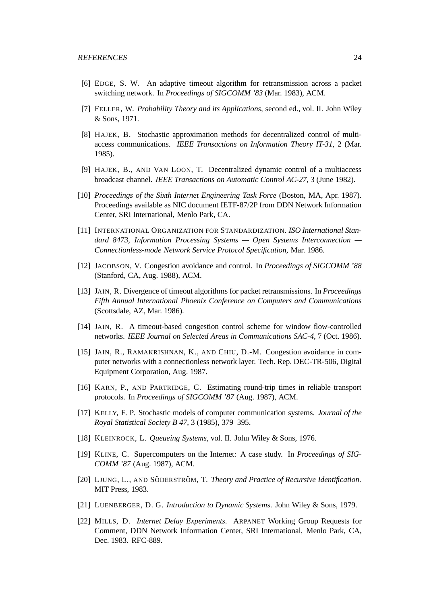- <span id="page-23-13"></span><span id="page-23-5"></span>[6] EDGE, S. W. An adaptive timeout algorithm for retransmission across a packet switching network. In *Proceedings of SIGCOMM '83* (Mar. 1983), ACM.
- <span id="page-23-6"></span>[7] FELLER, W. *Probability Theory and its Applications*, second ed., vol. II. John Wiley & Sons, 1971.
- [8] HAJEK, B. Stochastic approximation methods for decentralized control of multiaccess communications. *IEEE Transactions on Information Theory IT-31*, 2 (Mar. 1985).
- <span id="page-23-11"></span>[9] HAJEK, B., AND VAN LOON, T. Decentralized dynamic control of a multiaccess broadcast channel. *IEEE Transactions on Automatic Control AC-27*, 3 (June 1982).
- <span id="page-23-9"></span>[10] *Proceedings of the Sixth Internet Engineering Task Force* (Boston, MA, Apr. 1987). Proceedings available as NIC document IETF-87/2P from DDN Network Information Center, SRI International, Menlo Park, CA.
- <span id="page-23-16"></span>[11] INTERNATIONAL ORGANIZATION FOR STANDARDIZATION. *ISO International Standard 8473, Information Processing Systems — Open Systems Interconnection — Connectionless-mode Network Service Protocol Specification*, Mar. 1986.
- <span id="page-23-4"></span><span id="page-23-0"></span>[12] JACOBSON, V. Congestion avoidance and control. In *Proceedings of SIGCOMM '88* (Stanford, CA, Aug. 1988), ACM.
- [13] JAIN, R. Divergence of timeout algorithms for packet retransmissions. In *Proceedings Fifth Annual International Phoenix Conference on Computers and Communications* (Scottsdale, AZ, Mar. 1986).
- <span id="page-23-3"></span>[14] JAIN, R. A timeout-based congestion control scheme for window flow-controlled networks. *IEEE Journal on Selected Areas in Communications SAC-4*, 7 (Oct. 1986).
- <span id="page-23-8"></span>[15] JAIN, R., RAMAKRISHNAN, K., AND CHIU, D.-M. Congestion avoidance in computer networks with a connectionless network layer. Tech. Rep. DEC-TR-506, Digital Equipment Corporation, Aug. 1987.
- <span id="page-23-1"></span>[16] KARN, P., AND PARTRIDGE, C. Estimating round-trip times in reliable transport protocols. In *Proceedings of SIGCOMM '87* (Aug. 1987), ACM.
- <span id="page-23-7"></span>[17] KELLY, F. P. Stochastic models of computer communication systems. *Journal of the Royal Statistical Society B 47*, 3 (1985), 379–395.
- <span id="page-23-12"></span><span id="page-23-10"></span>[18] KLEINROCK, L. *Queueing Systems*, vol. II. John Wiley & Sons, 1976.
- [19] KLINE, C. Supercomputers on the Internet: A case study. In *Proceedings of SIG-COMM '87* (Aug. 1987), ACM.
- <span id="page-23-14"></span>[20] LJUNG, L., AND SÖDERSTRÖM, T. *Theory and Practice of Recursive Identification*. MIT Press, 1983.
- <span id="page-23-15"></span><span id="page-23-2"></span>[21] LUENBERGER, D. G. *Introduction to Dynamic Systems*. John Wiley & Sons, 1979.
- [22] MILLS, D. *Internet Delay Experiments*. ARPANET Working Group Requests for Comment, DDN Network Information Center, SRI International, Menlo Park, CA, Dec. 1983. RFC-889.